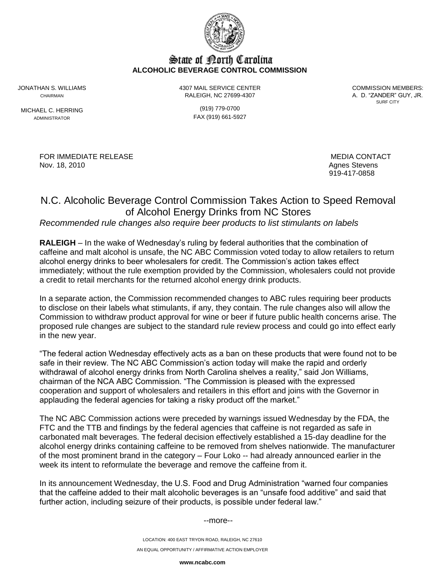

## State of Borth Carolina **ALCOHOLIC BEVERAGE CONTROL COMMISSION**

MICHAEL C. HERRING (919) 779-0700

JONATHAN S. WILLIAMS 4307 MAIL SERVICE CENTER COMMISSION MEMBERS: CHAIRMAN RALEIGH, NC 27699-4307 A. D. "ZANDER" GUY, JR.

SURF CITY

ADMINISTRATOR FAX (919) 661-5927

FOR IMMEDIATE RELEASE MEDIA CONTACT MEDIA CONTACT Nov. 18, 2010 **Agnes Stevens** Agnes Stevens

919-417-0858

# N.C. Alcoholic Beverage Control Commission Takes Action to Speed Removal of Alcohol Energy Drinks from NC Stores

## *Recommended rule changes also require beer products to list stimulants on labels*

**RALEIGH** – In the wake of Wednesday's ruling by federal authorities that the combination of caffeine and malt alcohol is unsafe, the NC ABC Commission voted today to allow retailers to return alcohol energy drinks to beer wholesalers for credit. The Commission's action takes effect immediately; without the rule exemption provided by the Commission, wholesalers could not provide a credit to retail merchants for the returned alcohol energy drink products.

In a separate action, the Commission recommended changes to ABC rules requiring beer products to disclose on their labels what stimulants, if any, they contain. The rule changes also will allow the Commission to withdraw product approval for wine or beer if future public health concerns arise. The proposed rule changes are subject to the standard rule review process and could go into effect early in the new year.

"The federal action Wednesday effectively acts as a ban on these products that were found not to be safe in their review. The NC ABC Commission's action today will make the rapid and orderly withdrawal of alcohol energy drinks from North Carolina shelves a reality," said Jon Williams, chairman of the NCA ABC Commission. "The Commission is pleased with the expressed cooperation and support of wholesalers and retailers in this effort and joins with the Governor in applauding the federal agencies for taking a risky product off the market."

The NC ABC Commission actions were preceded by warnings issued Wednesday by the FDA, the FTC and the TTB and findings by the federal agencies that caffeine is not regarded as safe in carbonated malt beverages. The federal decision effectively established a 15-day deadline for the alcohol energy drinks containing caffeine to be removed from shelves nationwide. The manufacturer of the most prominent brand in the category – Four Loko -- had already announced earlier in the week its intent to reformulate the beverage and remove the caffeine from it.

In its announcement Wednesday, the U.S. Food and Drug Administration "warned four companies that the caffeine added to their malt alcoholic beverages is an "unsafe food additive" and said that further action, including seizure of their products, is possible under federal law."

#### --more--

LOCATION: 400 EAST TRYON ROAD, RALEIGH, NC 27610 AN EQUAL OPPORTUNITY / AFFIRMATIVE ACTION EMPLOYER

**www.ncabc.com**